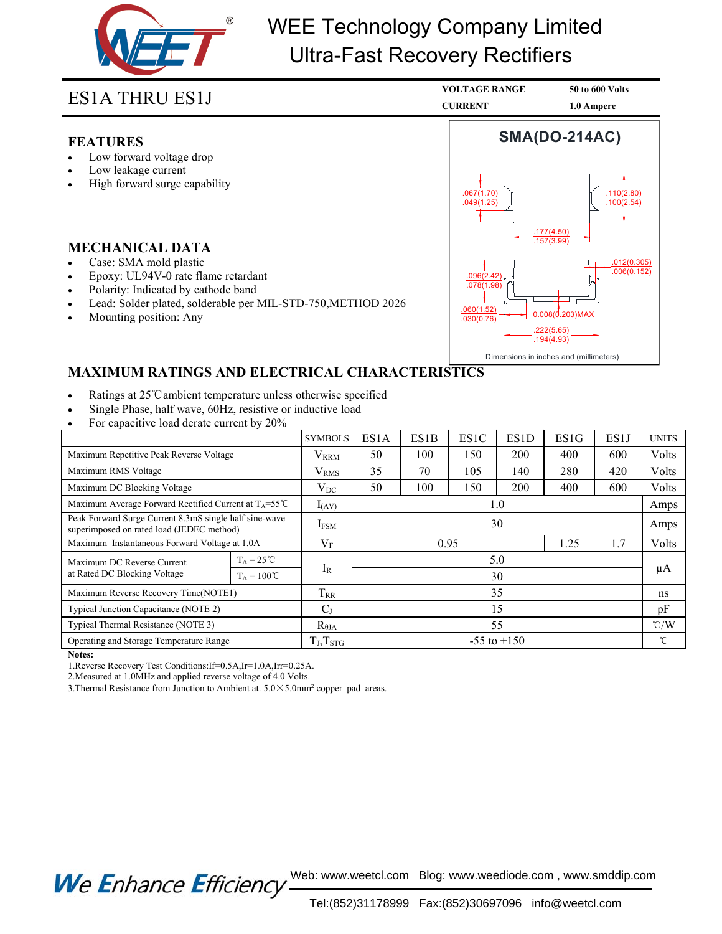

# WEE Technology Company Limited Ultra-Fast Recovery Rectifiers

# **FEATURES**

- 
- 
- 

- 
- 
- 
- **ES1A THRU ES1J<br>
FEATURES**<br>
 Low forward voltage drop<br>
 Low leakage current<br>
 High forward surge capability<br> **MECHANICAL DATA**<br>
 Case: SMA mold plastic<br>
 Epoxy: UL94V-0 rate flame retardant<br>
 Polarity: Indicated by c **EPATURES**<br>
• Low forward voltage drop<br>
• Low leakage current<br>
• High forward surge capability<br> **MECHANICAL DATA**<br>
• Case: SMA mold plastic<br>
• Epoxy: UL94V-0 rate flame retardant<br>
• Polarity: Indicated by cathode band<br>
• L **FEATURES**<br>
• Low forward voltage drop<br>
• Low leakage current<br>
• High forward surge capability<br> **MECHANICAL DATA**<br>
• Case: SMA mold plastic<br>
• Epoxy: UL94V-0 rate flame retardant<br>
• Polarity: Indicated by cathode band<br>
• L
- 



- 
- 
- 

| <b>MECHANICAL DATA</b><br>Case: SMA mold plastic<br>Epoxy: UL94V-0 rate flame retardant<br>$\bullet$<br>Polarity: Indicated by cathode band<br>$\bullet$<br>Lead: Solder plated, solderable per MIL-STD-750, METHOD 2026<br>$\bullet$<br>Mounting position: Any<br>$\bullet$ |                                             |                  |                 |                                        | .157(3.99)<br>.012(0.305)<br>.006(0.152)<br>.096(2.42)<br>.078(1.98)<br>.060(1.52)<br>$0.008(d.203)$ MAX<br>.030(0.76)<br>.222(5.65)<br>.194(4.93) |      |      |               |              |
|------------------------------------------------------------------------------------------------------------------------------------------------------------------------------------------------------------------------------------------------------------------------------|---------------------------------------------|------------------|-----------------|----------------------------------------|----------------------------------------------------------------------------------------------------------------------------------------------------|------|------|---------------|--------------|
| <b>MAXIMUM RATINGS AND ELECTRICAL CHARACTERISTICS</b>                                                                                                                                                                                                                        |                                             |                  |                 | Dimensions in inches and (millimeters) |                                                                                                                                                    |      |      |               |              |
| Ratings at 25 °C ambient temperature unless otherwise specified<br>Single Phase, half wave, 60Hz, resistive or inductive load<br>For capacitive load derate current by 20%                                                                                                   |                                             |                  |                 |                                        |                                                                                                                                                    |      |      |               |              |
|                                                                                                                                                                                                                                                                              |                                             | <b>SYMBOLS</b>   | ES1A            | ES1B                                   | ES1C                                                                                                                                               | ES1D | ES1G | ES1J          | <b>UNITS</b> |
| Maximum Repetitive Peak Reverse Voltage                                                                                                                                                                                                                                      |                                             | <b>VRRM</b>      | 50              | 100                                    | 150                                                                                                                                                | 200  | 400  | 600           | Volts        |
| Maximum RMS Voltage                                                                                                                                                                                                                                                          |                                             | V <sub>RMS</sub> | 35              | 70                                     | 105                                                                                                                                                | 140  | 280  | 420           | Volts        |
| Maximum DC Blocking Voltage                                                                                                                                                                                                                                                  |                                             | $V_{DC}$         | 50              | 100                                    | 150                                                                                                                                                | 200  | 400  | 600           | Volts        |
| Maximum Average Forward Rectified Current at T <sub>A</sub> =55°C                                                                                                                                                                                                            |                                             | $I_{(AV)}$       | 1.0             |                                        |                                                                                                                                                    |      |      | Amps          |              |
| Peak Forward Surge Current 8.3mS single half sine-wave<br>superimposed on rated load (JEDEC method)                                                                                                                                                                          |                                             | <b>IFSM</b>      | 30              |                                        |                                                                                                                                                    |      |      | Amps          |              |
| Maximum Instantaneous Forward Voltage at 1.0A                                                                                                                                                                                                                                |                                             | $V_{\rm F}$      | 0.95<br>1.25    |                                        |                                                                                                                                                    |      | 1.7  | Volts         |              |
| Maximum DC Reverse Current<br>at Rated DC Blocking Voltage                                                                                                                                                                                                                   | $T_A = 25^{\circ}C$<br>$T_A = 100^{\circ}C$ | $I_R$            | 5.0<br>30       |                                        |                                                                                                                                                    |      |      | μA            |              |
| Maximum Reverse Recovery Time(NOTE1)                                                                                                                                                                                                                                         |                                             | T <sub>RR</sub>  | 35              |                                        |                                                                                                                                                    |      |      | ns            |              |
| Typical Junction Capacitance (NOTE 2)                                                                                                                                                                                                                                        |                                             | C <sub>J</sub>   | 15              |                                        |                                                                                                                                                    |      |      | pF            |              |
| Typical Thermal Resistance (NOTE 3)                                                                                                                                                                                                                                          |                                             | $R_{\theta JA}$  | 55              |                                        |                                                                                                                                                    |      |      | $\degree$ C/W |              |
| Operating and Storage Temperature Range                                                                                                                                                                                                                                      |                                             | $T_J, T_{STG}$   | $-55$ to $+150$ |                                        |                                                                                                                                                    |      |      | $^{\circ}$ C  |              |
| Notes:<br>1. Reverse Recovery Test Conditions: If=0.5A, Ir=1.0A, Irr=0.25A.<br>2. Measured at 1.0 MHz and applied reverse voltage of 4.0 Volts.<br>3. Thermal Resistance from Junction to Ambient at $5.0 \times 5.0$ mm <sup>2</sup> copper pad areas.                      |                                             |                  |                 |                                        |                                                                                                                                                    |      |      |               |              |

We Enhance

Web: www.weetcl.com Blog: www.weediode.com , www.smddip.com